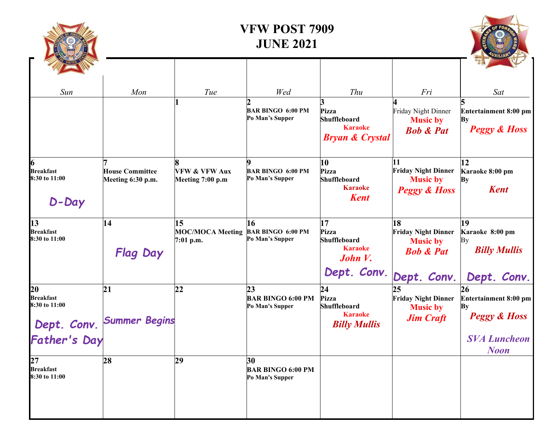| Sun                                                                    |                                             |                                              |                                                    |                                                                                     |                                                                                            |                                                                                                    |
|------------------------------------------------------------------------|---------------------------------------------|----------------------------------------------|----------------------------------------------------|-------------------------------------------------------------------------------------|--------------------------------------------------------------------------------------------|----------------------------------------------------------------------------------------------------|
|                                                                        | Mon                                         | Tue                                          | Wed<br><b>BAR BINGO 6:00 PM</b><br>Po Man's Supper | <b>Thu</b><br>Pizza<br>Shuffleboard<br><b>Karaoke</b><br><b>Bryan &amp; Crystal</b> | Fri<br>Friday Night Dinner<br><b>Music by</b><br><b>Bob &amp; Pat</b>                      | Sat<br>Entertainment 8:00 pm<br>By<br><b>Peggy &amp; Hoss</b>                                      |
| 6<br><b>Breakfast</b><br>8:30 to 11:00<br>D-Day                        | <b>House Committee</b><br>Meeting 6:30 p.m. | <b>VFW &amp; VFW Aux</b><br>Meeting 7:00 p.m | <b>BAR BINGO 6:00 PM</b><br>Po Man's Supper        | 10<br>Pizza<br><b>Shuffleboard</b><br><b>Karaoke</b><br><b>Kent</b>                 | 11<br><b>Friday Night Dinner</b><br><b>Music by</b><br><b>Peggy &amp; Hoss</b>             | 12<br>Karaoke 8:00 pm<br><b>By</b><br><b>Kent</b>                                                  |
| 13<br><b>Breakfast</b><br>8:30 to 11:00                                | 14<br><b>Flag Day</b>                       | 15<br><b>MOC/MOCA Meeting</b><br>7:01 p.m.   | 16<br><b>BAR BINGO 6:00 PM</b><br>Po Man's Supper  | 17<br>Pizza<br>Shuffleboard<br><b>Karaoke</b><br>John V.<br>Dept. Conv.             | 18<br><b>Friday Night Dinner</b><br><b>Music by</b><br><b>Bob &amp; Pat</b><br>Dept. Conv. | 19<br>Karaoke 8:00 pm<br>By<br><b>Billy Mullis</b><br>Dept. Conv.                                  |
| 20<br><b>Breakfast</b><br>8:30 to 11:00<br>Dept. Conv.<br>Father's Day | 21<br><b>Summer Begins</b>                  | 22                                           | 23<br><b>BAR BINGO 6:00 PM</b><br>Po Man's Supper  | 24<br>Pizza<br><b>Shuffleboard</b><br><b>Karaoke</b><br><b>Billy Mullis</b>         | 25<br><b>Friday Night Dinner</b><br><b>Music by</b><br><b>Jim Craft</b>                    | 26<br>Entertainment 8:00 pm<br>By<br><b>Peggy &amp; Hoss</b><br><b>SVA Luncheon</b><br><b>Noon</b> |
| 27<br><b>Breakfast</b><br>8:30 to 11:00                                | 28                                          | 29                                           | 30<br><b>BAR BINGO 6:00 PM</b><br>Po Man's Supper  |                                                                                     |                                                                                            |                                                                                                    |